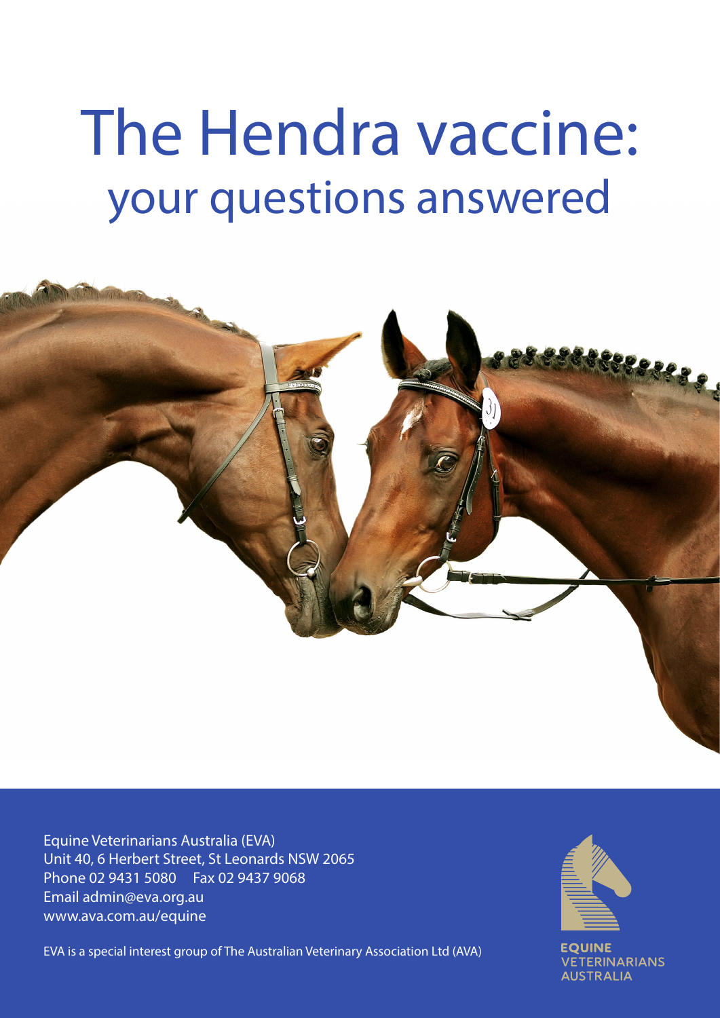# The Hendra vaccine: your questions answered



Equine Veterinarians Australia (EVA) Unit 40, 6 Herbert Street, St Leonards NSW 2065 Phone 02 9431 5080 Fax 02 9437 9068 Email admin@eva.org.au www.ava.com.au/equine

EVA is a special interest group of The Australian Veterinary Association Ltd (AVA)



**VETERINARIANS AUSTRALIA**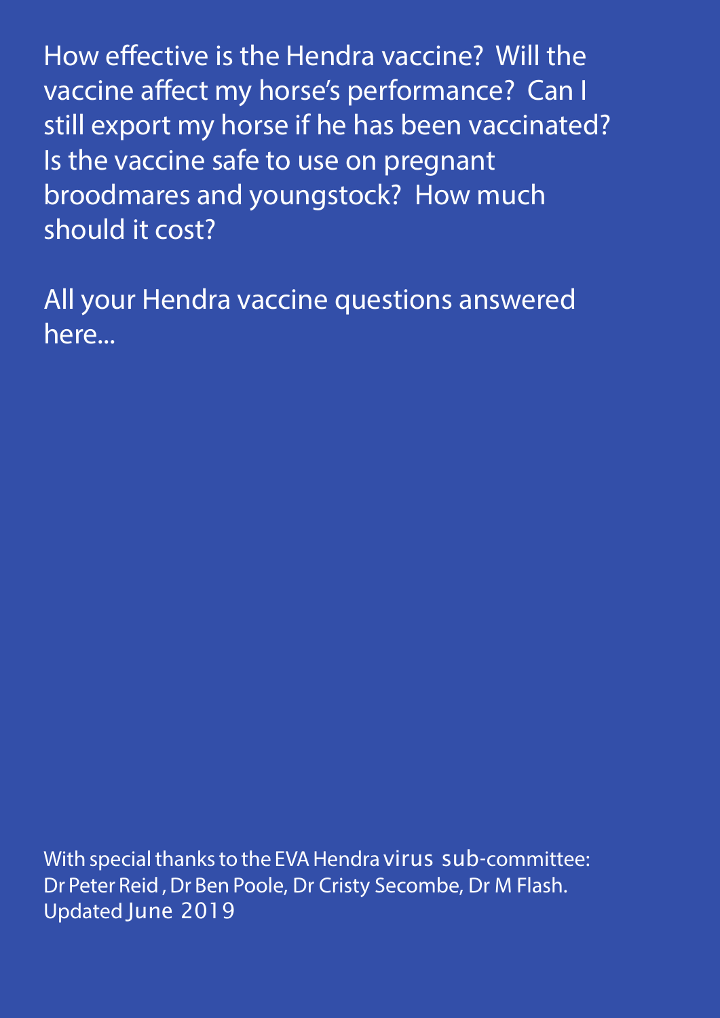How effective is the Hendra vaccine? Will the vaccine affect my horse's performance? Can I still export my horse if he has been vaccinated? Is the vaccine safe to use on pregnant broodmares and youngstock? How much should it cost?

All your Hendra vaccine questions answered here...

With special thanks to the EVA Hendra virus sub-committee: Dr Peter Reid , Dr Ben Poole, Dr Cristy Secombe, Dr M Flash. Updated June 2019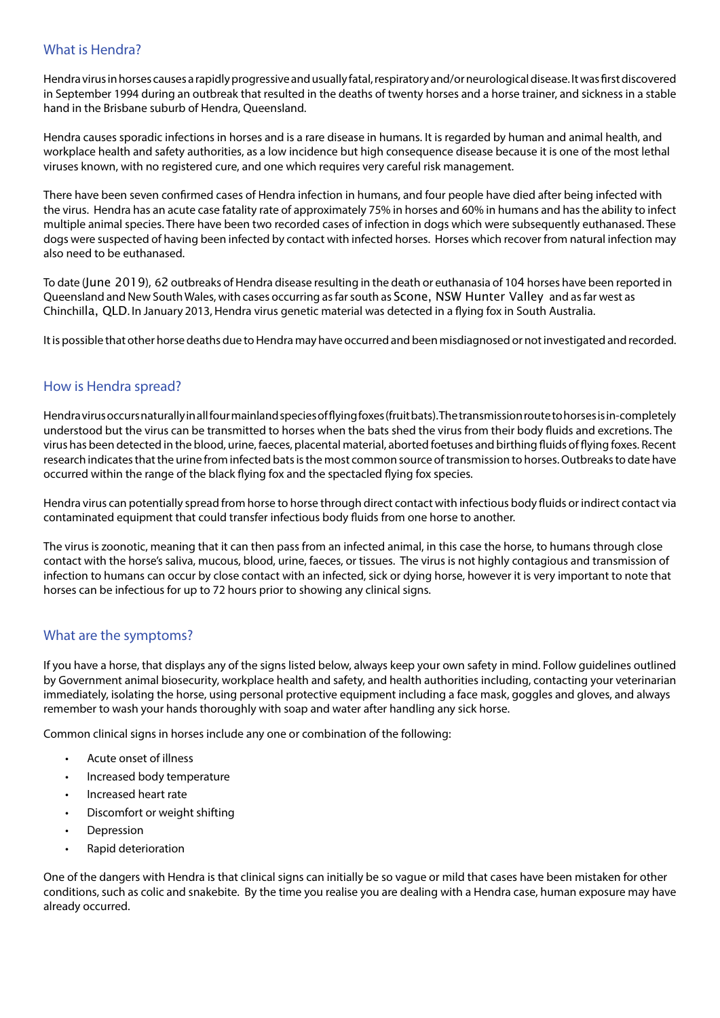## What is Hendra?

Hendra virus in horses causes a rapidly progressive and usually fatal, respiratory and/or neurological disease. It was first discovered in September 1994 during an outbreak that resulted in the deaths of twenty horses and a horse trainer, and sickness in a stable hand in the Brisbane suburb of Hendra, Queensland.

Hendra causes sporadic infections in horses and is a rare disease in humans. It is regarded by human and animal health, and workplace health and safety authorities, as a low incidence but high consequence disease because it is one of the most lethal viruses known, with no registered cure, and one which requires very careful risk management.

There have been seven confirmed cases of Hendra infection in humans, and four people have died after being infected with the virus. Hendra has an acute case fatality rate of approximately 75% in horses and 60% in humans and has the ability to infect multiple animal species. There have been two recorded cases of infection in dogs which were subsequently euthanased. These dogs were suspected of having been infected by contact with infected horses. Horses which recover from natural infection may also need to be euthanased.

To date (June 2019), 62 outbreaks of Hendra disease resulting in the death or euthanasia of 104 horses have been reported in Queensland and New South Wales, with cases occurring as far south as Scone, NSW Hunter Valley and as far west as Chinchilla, QLD. In January 2013, Hendra virus genetic material was detected in a flying fox in South Australia.

It is possible that other horse deaths due to Hendra may have occurred and been misdiagnosed or not investigated and recorded.

## How is Hendra spread?

Hendra virus occurs naturally in all four mainland species of flying foxes (fruit bats). The transmission route to horses is in-completely understood but the virus can be transmitted to horses when the bats shed the virus from their body fluids and excretions. The virus has been detected in the blood, urine, faeces, placental material, aborted foetuses and birthing fluids of flying foxes. Recent research indicates that the urine from infected bats is the most common source of transmission to horses. Outbreaks to date have occurred within the range of the black flying fox and the spectacled flying fox species.

Hendra virus can potentially spread from horse to horse through direct contact with infectious body fluids or indirect contact via contaminated equipment that could transfer infectious body fluids from one horse to another.

The virus is zoonotic, meaning that it can then pass from an infected animal, in this case the horse, to humans through close contact with the horse's saliva, mucous, blood, urine, faeces, or tissues. The virus is not highly contagious and transmission of infection to humans can occur by close contact with an infected, sick or dying horse, however it is very important to note that horses can be infectious for up to 72 hours prior to showing any clinical signs.

## What are the symptoms?

If you have a horse, that displays any of the signs listed below, always keep your own safety in mind. Follow guidelines outlined by Government animal biosecurity, workplace health and safety, and health authorities including, contacting your veterinarian immediately, isolating the horse, using personal protective equipment including a face mask, goggles and gloves, and always remember to wash your hands thoroughly with soap and water after handling any sick horse.

Common clinical signs in horses include any one or combination of the following:

- Acute onset of illness
- Increased body temperature
- Increased heart rate
- Discomfort or weight shifting
- **Depression**
- Rapid deterioration

One of the dangers with Hendra is that clinical signs can initially be so vague or mild that cases have been mistaken for other conditions, such as colic and snakebite. By the time you realise you are dealing with a Hendra case, human exposure may have already occurred.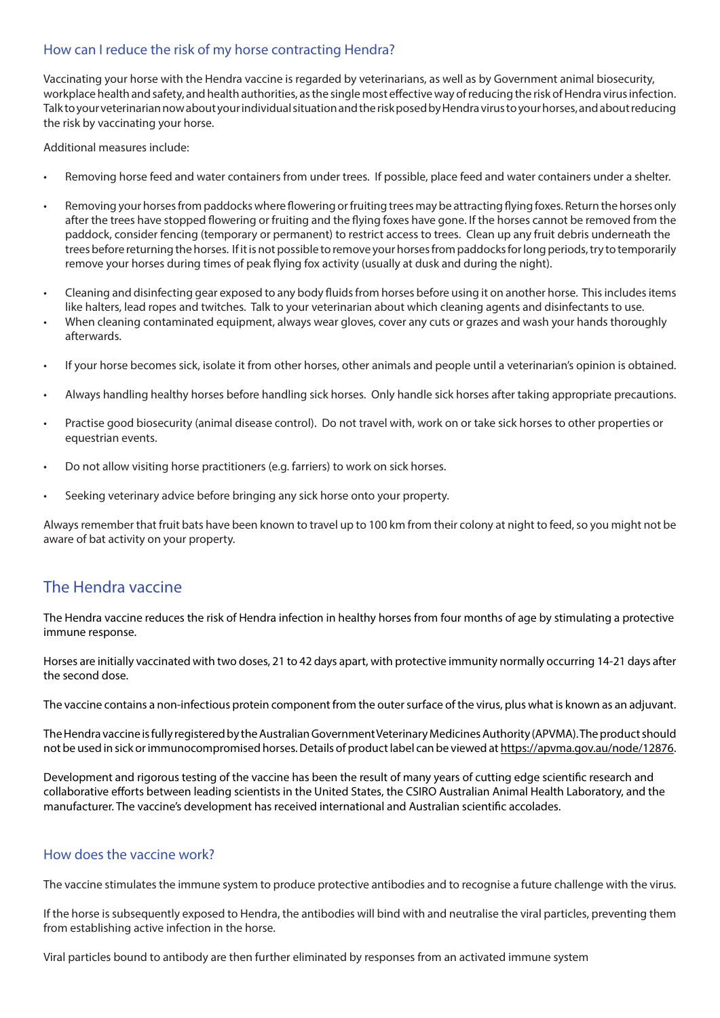## How can I reduce the risk of my horse contracting Hendra?

Vaccinating your horse with the Hendra vaccine is regarded by veterinarians, as well as by Government animal biosecurity, workplace health and safety, and health authorities, as the single most effective way of reducing the risk of Hendra virus infection. Talk to your veterinarian now about your individual situation and the risk posed by Hendra virus to your horses, and about reducing the risk by vaccinating your horse.

Additional measures include:

- Removing horse feed and water containers from under trees. If possible, place feed and water containers under a shelter.
- Removing your horses from paddocks where flowering or fruiting trees may be attracting flying foxes. Return the horses only after the trees have stopped flowering or fruiting and the flying foxes have gone. If the horses cannot be removed from the paddock, consider fencing (temporary or permanent) to restrict access to trees. Clean up any fruit debris underneath the trees before returning the horses. If it is not possible to remove your horses from paddocks for long periods, try to temporarily remove your horses during times of peak flying fox activity (usually at dusk and during the night).
- Cleaning and disinfecting gear exposed to any body fluids from horses before using it on another horse. This includes items like halters, lead ropes and twitches. Talk to your veterinarian about which cleaning agents and disinfectants to use.
- When cleaning contaminated equipment, always wear gloves, cover any cuts or grazes and wash your hands thoroughly afterwards.
- If your horse becomes sick, isolate it from other horses, other animals and people until a veterinarian's opinion is obtained.
- Always handling healthy horses before handling sick horses. Only handle sick horses after taking appropriate precautions.
- Practise good biosecurity (animal disease control). Do not travel with, work on or take sick horses to other properties or equestrian events.
- Do not allow visiting horse practitioners (e.g. farriers) to work on sick horses.
- Seeking veterinary advice before bringing any sick horse onto your property.

Always remember that fruit bats have been known to travel up to 100 km from their colony at night to feed, so you might not be aware of bat activity on your property.

# The Hendra vaccine

The Hendra vaccine reduces the risk of Hendra infection in healthy horses from four months of age by stimulating a protective immune response.

Horses are initially vaccinated with two doses, 21 to 42 days apart, with protective immunity normally occurring 14-21 days after the second dose.

The vaccine contains a non-infectious protein component from the outer surface of the virus, plus what is known as an adjuvant.

The Hendra vaccine is fully registered by the Australian Government Veterinary Medicines Authority (APVMA). The product should not be used in sick or immunocompromised horses. Details of product label can be viewed at https://apvma.gov.au/node/12876.

Development and rigorous testing of the vaccine has been the result of many years of cutting edge scientific research and collaborative efforts between leading scientists in the United States, the CSIRO Australian Animal Health Laboratory, and the manufacturer. The vaccine's development has received international and Australian scientific accolades.

## How does the vaccine work?

The vaccine stimulates the immune system to produce protective antibodies and to recognise a future challenge with the virus.

If the horse is subsequently exposed to Hendra, the antibodies will bind with and neutralise the viral particles, preventing them from establishing active infection in the horse.

Viral particles bound to antibody are then further eliminated by responses from an activated immune system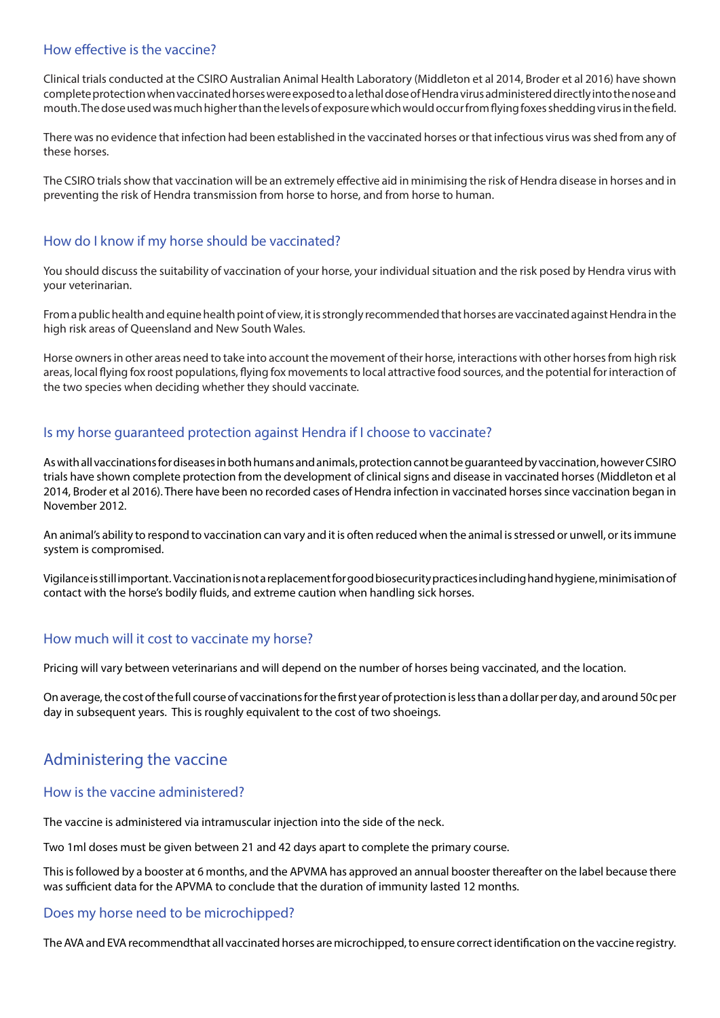## How effective is the vaccine?

Clinical trials conducted at the CSIRO Australian Animal Health Laboratory (Middleton et al 2014, Broder et al 2016) have shown complete protection when vaccinated horses were exposed to a lethal dose of Hendra virus administered directly into the nose and mouth. The dose used was much higher than the levels of exposure which would occur from flying foxes shedding virus in the field.

There was no evidence that infection had been established in the vaccinated horses or that infectious virus was shed from any of these horses.

The CSIRO trials show that vaccination will be an extremely effective aid in minimising the risk of Hendra disease in horses and in preventing the risk of Hendra transmission from horse to horse, and from horse to human.

## How do I know if my horse should be vaccinated?

You should discuss the suitability of vaccination of your horse, your individual situation and the risk posed by Hendra virus with your veterinarian.

From a public health and equine health point of view, it is strongly recommended that horses are vaccinated against Hendra in the high risk areas of Queensland and New South Wales.

Horse owners in other areas need to take into account the movement of their horse, interactions with other horses from high risk areas, local flying fox roost populations, flying fox movements to local attractive food sources, and the potential for interaction of the two species when deciding whether they should vaccinate.

## Is my horse guaranteed protection against Hendra if I choose to vaccinate?

As with all vaccinations for diseases in both humans and animals, protection cannot be guaranteed by vaccination, however CSIRO trials have shown complete protection from the development of clinical signs and disease in vaccinated horses (Middleton et al 2014, Broder et al 2016). There have been no recorded cases of Hendra infection in vaccinated horses since vaccination began in November 2012.

An animal's ability to respond to vaccination can vary and it is often reduced when the animal is stressed or unwell, or its immune system is compromised.

Vigilance is still important. Vaccination is not a replacement for good biosecurity practices including hand hygiene, minimisation of contact with the horse's bodily fluids, and extreme caution when handling sick horses.

## How much will it cost to vaccinate my horse?

Pricing will vary between veterinarians and will depend on the number of horses being vaccinated, and the location.

On average, the cost of the full course of vaccinations for the first year of protection is less than a dollar per day, and around 50c per day in subsequent years. This is roughly equivalent to the cost of two shoeings.

# Administering the vaccine

### How is the vaccine administered?

The vaccine is administered via intramuscular injection into the side of the neck.

Two 1ml doses must be given between 21 and 42 days apart to complete the primary course.

This is followed by a booster at 6 months, and the APVMA has approved an annual booster thereafter on the label because there was sufficient data for the APVMA to conclude that the duration of immunity lasted 12 months.

### Does my horse need to be microchipped?

The AVA and EVA recommendthat all vaccinated horses are microchipped, to ensure correct identification on the vaccine registry.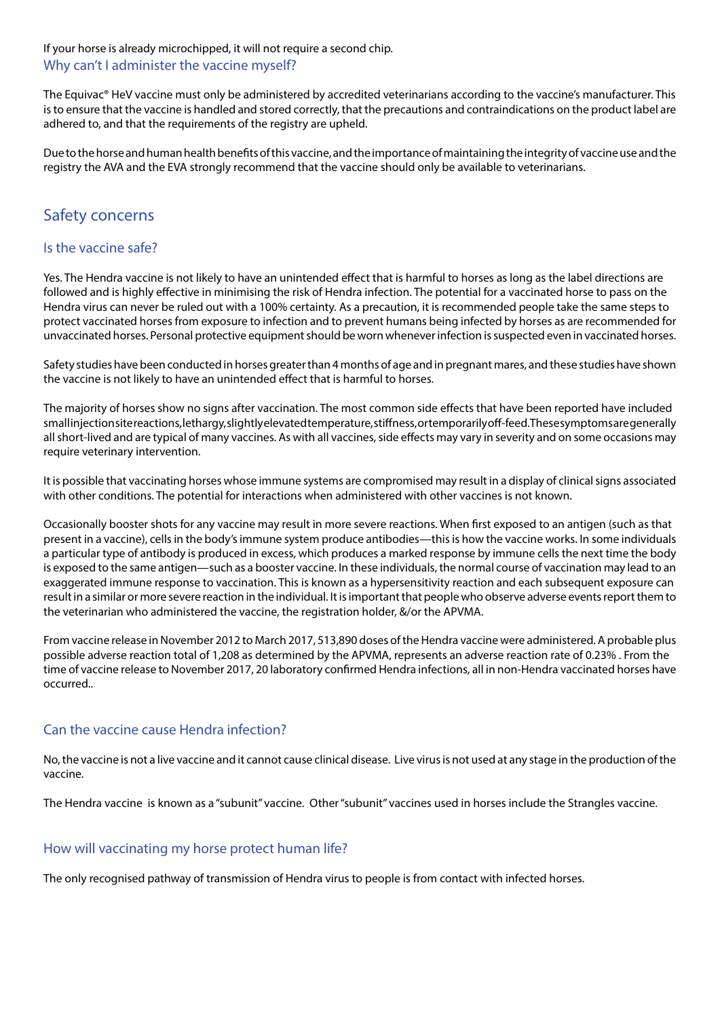If your horse is already microchipped, it will not require a second chip. Why can't I administer the vaccine myself?

The Equivac® HeV vaccine must only be administered by accredited veterinarians according to the vaccine's manufacturer. This is to ensure that the vaccine is handled and stored correctly, that the precautions and contraindications on the product label are adhered to, and that the requirements of the registry are upheld.

Due to the horse and human health benefits of this vaccine, and the importance of maintaining the integrity of vaccine use and the registry the AVA and the EVA strongly recommend that the vaccine should only be available to veterinarians.

# Safety concerns

## Is the vaccine safe?

Yes. The Hendra vaccine is not likely to have an unintended effect that is harmful to horses as long as the label directions are followed and is highly effective in minimising the risk of Hendra infection. The potential for a vaccinated horse to pass on the Hendra virus can never be ruled out with a 100% certainty. As a precaution, it is recommended people take the same steps to protect vaccinated horses from exposure to infection and to prevent humans being infected by horses as are recommended for unvaccinated horses. Personal protective equipment should be worn whenever infection is suspected even in vaccinated horses.

Safety studies have been conducted in horses greater than 4 months of age and in pregnant mares, and these studies have shown the vaccine is not likely to have an unintended effect that is harmful to horses.

The majority of horses show no signs after vaccination. The most common side effects that have been reported have included small injection site reactions, lethargy, slightly elevated temperature, stiffness, or temporarily off-feed. These symptoms are generally all short-lived and are typical of many vaccines. As with all vaccines, side effects may vary in severity and on some occasions may require veterinary intervention.

It is possible that vaccinating horses whose immune systems are compromised may result in a display of clinical signs associated with other conditions. The potential for interactions when administered with other vaccines is not known.

Occasionally booster shots for any vaccine may result in more severe reactions. When first exposed to an antigen (such as that present in a vaccine), cells in the body's immune system produce antibodies—this is how the vaccine works. In some individuals a particular type of antibody is produced in excess, which produces a marked response by immune cells the next time the body is exposed to the same antigen—such as a booster vaccine. In these individuals, the normal course of vaccination may lead to an exaggerated immune response to vaccination. This is known as a hypersensitivity reaction and each subsequent exposure can result in a similar or more severe reaction in the individual. It is important that people who observe adverse events report them to the veterinarian who administered the vaccine, the registration holder, &/or the APVMA.

From vaccine release in November 2012 to March 2017, 513,890 doses of the Hendra vaccine were administered. A probable plus possible adverse reaction total of 1,208 as determined by the APVMA, represents an adverse reaction rate of 0.23% . From the time of vaccine release to November 2017, 20 laboratory confirmed Hendra infections, all in non-Hendra vaccinated horses have occurred..

## Can the vaccine cause Hendra infection?

No, the vaccine is not a live vaccine and it cannot cause clinical disease. Live virus is not used at any stage in the production of the vaccine.

The Hendra vaccine is known as a "subunit" vaccine. Other "subunit" vaccines used in horses include the Strangles vaccine.

## How will vaccinating my horse protect human life?

The only recognised pathway of transmission of Hendra virus to people is from contact with infected horses.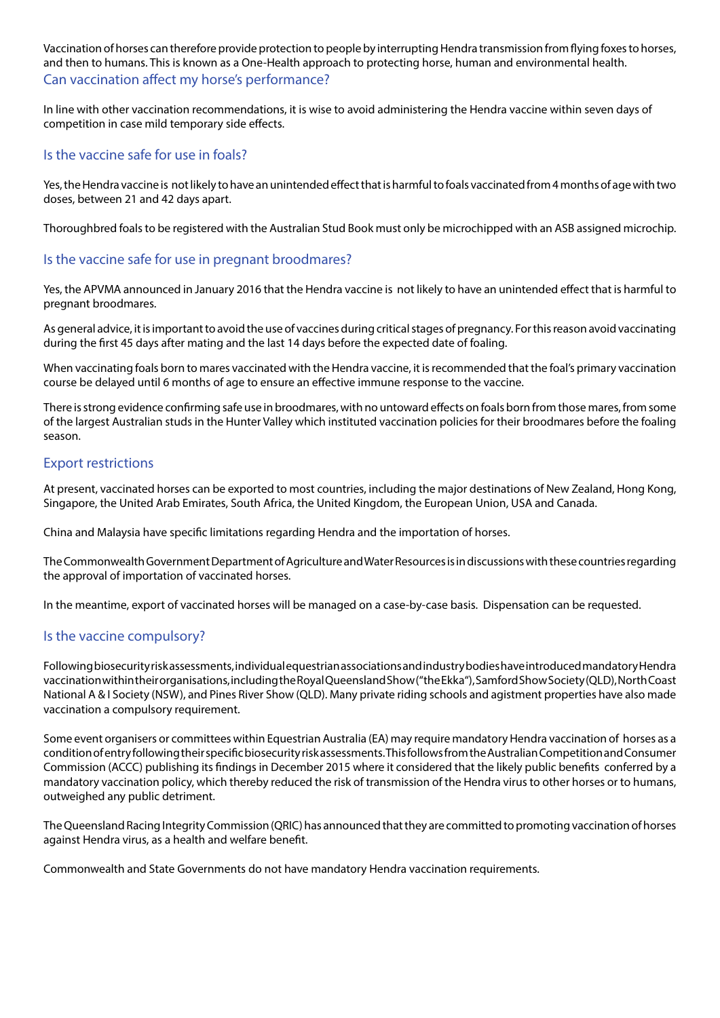Vaccination of horses can therefore provide protection to people by interrupting Hendra transmission from flying foxes to horses, and then to humans. This is known as a One-Health approach to protecting horse, human and environmental health. Can vaccination affect my horse's performance?

In line with other vaccination recommendations, it is wise to avoid administering the Hendra vaccine within seven days of competition in case mild temporary side effects.

## Is the vaccine safe for use in foals?

Yes, the Hendra vaccine is not likely to have an unintended effect that is harmful to foals vaccinated from 4 months of age with two doses, between 21 and 42 days apart.

Thoroughbred foals to be registered with the Australian Stud Book must only be microchipped with an ASB assigned microchip.

## Is the vaccine safe for use in pregnant broodmares?

Yes, the APVMA announced in January 2016 that the Hendra vaccine is not likely to have an unintended effect that is harmful to pregnant broodmares.

As general advice, it is important to avoid the use of vaccines during critical stages of pregnancy. For this reason avoid vaccinating during the first 45 days after mating and the last 14 days before the expected date of foaling.

When vaccinating foals born to mares vaccinated with the Hendra vaccine, it is recommended that the foal's primary vaccination course be delayed until 6 months of age to ensure an effective immune response to the vaccine.

There is strong evidence confirming safe use in broodmares, with no untoward effects on foals born from those mares, from some of the largest Australian studs in the Hunter Valley which instituted vaccination policies for their broodmares before the foaling season.

## Export restrictions

At present, vaccinated horses can be exported to most countries, including the major destinations of New Zealand, Hong Kong, Singapore, the United Arab Emirates, South Africa, the United Kingdom, the European Union, USA and Canada.

China and Malaysia have specific limitations regarding Hendra and the importation of horses.

The Commonwealth Government Department of Agriculture and Water Resources is in discussions with these countries regarding the approval of importation of vaccinated horses.

In the meantime, export of vaccinated horses will be managed on a case-by-case basis. Dispensation can be requested.

## Is the vaccine compulsory?

Following biosecurity risk assessments, individual equestrian associations and industry bodies have introduced mandatory Hendra vaccination within their organisations, including the Royal Queensland Show ("the Ekka"), Samford Show Society (QLD), North Coast National A & I Society (NSW), and Pines River Show (QLD). Many private riding schools and agistment properties have also made vaccination a compulsory requirement.

Some event organisers or committees within Equestrian Australia (EA) may require mandatory Hendra vaccination of horses as a condition of entry following their specific biosecurity risk assessments. This follows from the Australian Competition and Consumer Commission (ACCC) publishing its findings in December 2015 where it considered that the likely public benefits conferred by a mandatory vaccination policy, which thereby reduced the risk of transmission of the Hendra virus to other horses or to humans, outweighed any public detriment.

The Queensland Racing Integrity Commission (QRIC) has announced that they are committed to promoting vaccination of horses against Hendra virus, as a health and welfare benefit.

Commonwealth and State Governments do not have mandatory Hendra vaccination requirements.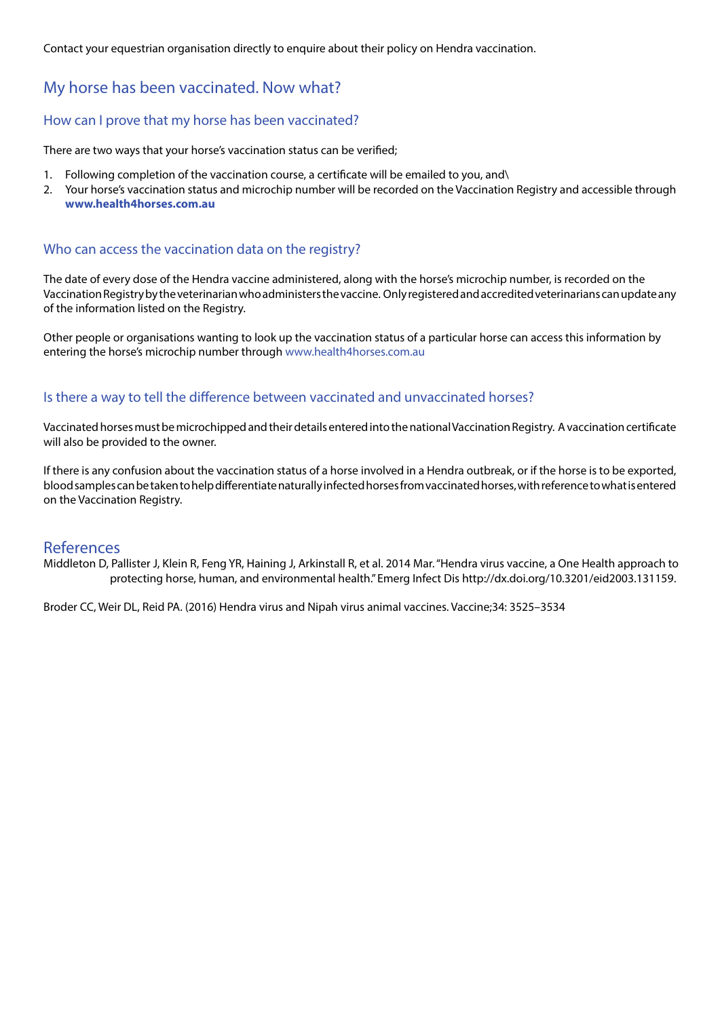Contact your equestrian organisation directly to enquire about their policy on Hendra vaccination.

# My horse has been vaccinated. Now what?

## How can I prove that my horse has been vaccinated?

There are two ways that your horse's vaccination status can be verified;

- 1. Following completion of the vaccination course, a certificate will be emailed to you, and\
- 2. Your horse's vaccination status and microchip number will be recorded on the Vaccination Registry and accessible through **www.health4horses.com.au**

### Who can access the vaccination data on the registry?

The date of every dose of the Hendra vaccine administered, along with the horse's microchip number, is recorded on the Vaccination Registry by the veterinarian who administers the vaccine. Only registered and accredited veterinarians can update any of the information listed on the Registry.

Other people or organisations wanting to look up the vaccination status of a particular horse can access this information by entering the horse's microchip number through www.health4horses.com.au

## Is there a way to tell the difference between vaccinated and unvaccinated horses?

Vaccinated horses must be microchipped and their details entered into the national Vaccination Registry. A vaccination certificate will also be provided to the owner.

If there is any confusion about the vaccination status of a horse involved in a Hendra outbreak, or if the horse is to be exported, blood samples can be taken to help differentiate naturally infected horses from vaccinated horses, with reference to what is entered on the Vaccination Registry.

### References

Middleton D, Pallister J, Klein R, Feng YR, Haining J, Arkinstall R, et al. 2014 Mar. "Hendra virus vaccine, a One Health approach to protecting horse, human, and environmental health." Emerg Infect Dis http://dx.doi.org/10.3201/eid2003.131159.

Broder CC, Weir DL, Reid PA. (2016) Hendra virus and Nipah virus animal vaccines. Vaccine;34: 3525–3534